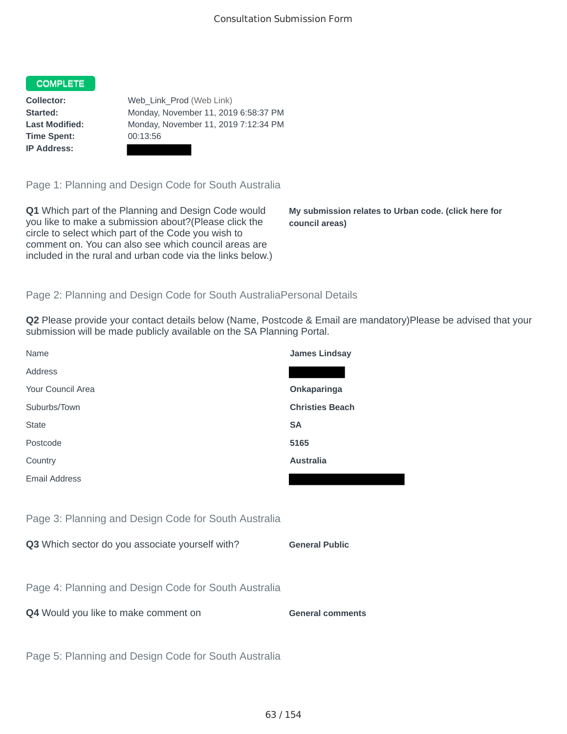## COMPLETE

**Time Spent:** 00:13:56 **IP Address:**

**Collector:** Web\_Link\_Prod (Web Link) **Started:** Monday, November 11, 2019 6:58:37 PM **Last Modified:** Monday, November 11, 2019 7:12:34 PM

Page 1: Planning and Design Code for South Australia

**Q1** Which part of the Planning and Design Code would you like to make a submission about?(Please click the circle to select which part of the Code you wish to comment on. You can also see which council areas are included in the rural and urban code via the links below.)

**My submission relates to Urban code. (click here for council areas)**

## Page 2: Planning and Design Code for South AustraliaPersonal Details

**Q2** Please provide your contact details below (Name, Postcode & Email are mandatory)Please be advised that your submission will be made publicly available on the SA Planning Portal.

| Name                                                 | <b>James Lindsay</b>    |
|------------------------------------------------------|-------------------------|
| Address                                              |                         |
| Your Council Area                                    | Onkaparinga             |
| Suburbs/Town                                         | <b>Christies Beach</b>  |
| <b>State</b>                                         | <b>SA</b>               |
| Postcode                                             | 5165                    |
| Country                                              | <b>Australia</b>        |
| Email Address                                        |                         |
|                                                      |                         |
| Page 3: Planning and Design Code for South Australia |                         |
| Q3 Which sector do you associate yourself with?      | <b>General Public</b>   |
|                                                      |                         |
| Page 4: Planning and Design Code for South Australia |                         |
| Q4 Would you like to make comment on                 | <b>General comments</b> |
|                                                      |                         |
| Page 5: Planning and Design Code for South Australia |                         |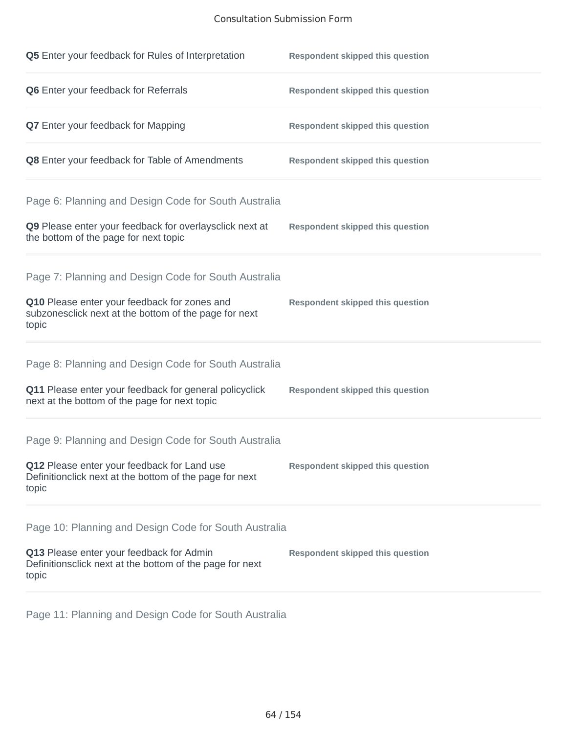## Consultation Submission Form

| Q5 Enter your feedback for Rules of Interpretation                                                              | <b>Respondent skipped this question</b> |
|-----------------------------------------------------------------------------------------------------------------|-----------------------------------------|
| Q6 Enter your feedback for Referrals                                                                            | <b>Respondent skipped this question</b> |
| Q7 Enter your feedback for Mapping                                                                              | <b>Respondent skipped this question</b> |
| Q8 Enter your feedback for Table of Amendments                                                                  | <b>Respondent skipped this question</b> |
| Page 6: Planning and Design Code for South Australia                                                            |                                         |
| Q9 Please enter your feedback for overlaysclick next at<br>the bottom of the page for next topic                | <b>Respondent skipped this question</b> |
| Page 7: Planning and Design Code for South Australia                                                            |                                         |
| Q10 Please enter your feedback for zones and<br>subzonesclick next at the bottom of the page for next<br>topic  | <b>Respondent skipped this question</b> |
| Page 8: Planning and Design Code for South Australia                                                            |                                         |
| Q11 Please enter your feedback for general policyclick<br>next at the bottom of the page for next topic         | <b>Respondent skipped this question</b> |
| Page 9: Planning and Design Code for South Australia                                                            |                                         |
| Q12 Please enter your feedback for Land use<br>Definitionclick next at the bottom of the page for next<br>topic | <b>Respondent skipped this question</b> |
| Page 10: Planning and Design Code for South Australia                                                           |                                         |
| Q13 Please enter your feedback for Admin<br>Definitionsclick next at the bottom of the page for next<br>topic   | <b>Respondent skipped this question</b> |

Page 11: Planning and Design Code for South Australia